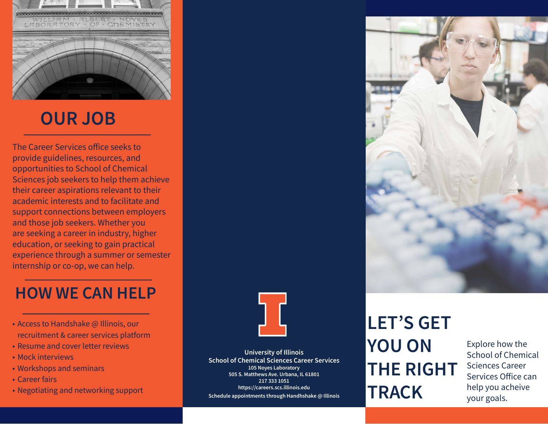

# OUR JOB

The Career Services office seeks to provide guidelines, resources, and opportunities to School of Chemical Sciences job seekers to help them achieve their career aspirations relevant to their academic interests and to facilitate and support connections between employers and those job seekers. Whether you are seeking a career in industry, higher education, or seeking to gain practical experience through a summer or semester internship or co-op, we can help.

## HOW WE CAN HELP

- Access to Handshake @ Illinois, our recruitment & career services platform
- Resume and cover letter reviews
- Mock interviews
- Workshops and seminars
- Career fairs
- Negotiating and networking support



University of Illinois School of Chemical Sciences Career Services 105 Noyes Laboratory 505 S. Matthews Ave. Urbana, IL 61801 217 333 1051 https://careers.scs.illinois.edu Schedule appointments through Handhshake @ Illinois

# LET'S GET YOU ON THE RIGHT **TRACK**

Explore how the School of Chemical Sciences Career Services Office can help you acheive your goals.